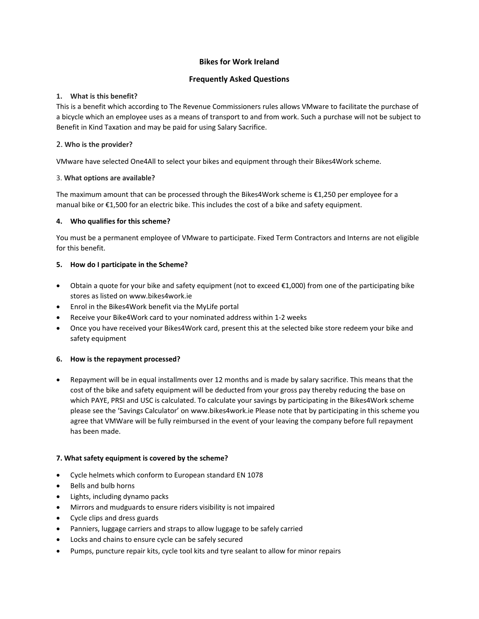# **Bikes for Work Ireland**

## **Frequently Asked Questions**

### **1. What is this benefit?**

This is a benefit which according to The Revenue Commissioners rules allows VMware to facilitate the purchase of a bicycle which an employee uses as a means of transport to and from work. Such a purchase will not be subject to Benefit in Kind Taxation and may be paid for using Salary Sacrifice.

### 2. **Who is the provider?**

VMware have selected One4All to select your bikes and equipment through their Bikes4Work scheme.

#### 3. **What options are available?**

The maximum amount that can be processed through the Bikes4Work scheme is €1,250 per employee for a manual bike or €1,500 for an electric bike. This includes the cost of a bike and safety equipment.

## **4. Who qualifies for this scheme?**

You must be a permanent employee of VMware to participate. Fixed Term Contractors and Interns are not eligible for this benefit.

## **5. How do I participate in the Scheme?**

- Obtain a quote for your bike and safety equipment (not to exceed €1,000) from one of the participating bike stores as listed on [www.bikes4work.ie](http://www.bikes4work.ie/)
- Enrol in the Bikes4Work benefit via the MyLife portal
- Receive your Bike4Work card to your nominated address within 1-2 weeks
- Once you have received your Bikes4Work card, present this at the selected bike store redeem your bike and safety equipment

#### **6. How is the repayment processed?**

• Repayment will be in equal installments over 12 months and is made by salary sacrifice. This means that the cost of the bike and safety equipment will be deducted from your gross pay thereby reducing the base on which PAYE, PRSI and USC is calculated. To calculate your savings by participating in the Bikes4Work scheme please see the 'Savings Calculator' on [www.bikes4work.ie](http://www.bikes4work.ie/) Please note that by participating in this scheme you agree that VMWare will be fully reimbursed in the event of your leaving the company before full repayment has been made.

#### **7. What safety equipment is covered by the scheme?**

- Cycle helmets which conform to European standard EN 1078
- Bells and bulb horns
- Lights, including dynamo packs
- Mirrors and mudguards to ensure riders visibility is not impaired
- Cycle clips and dress guards
- Panniers, luggage carriers and straps to allow luggage to be safely carried
- Locks and chains to ensure cycle can be safely secured
- Pumps, puncture repair kits, cycle tool kits and tyre sealant to allow for minor repairs